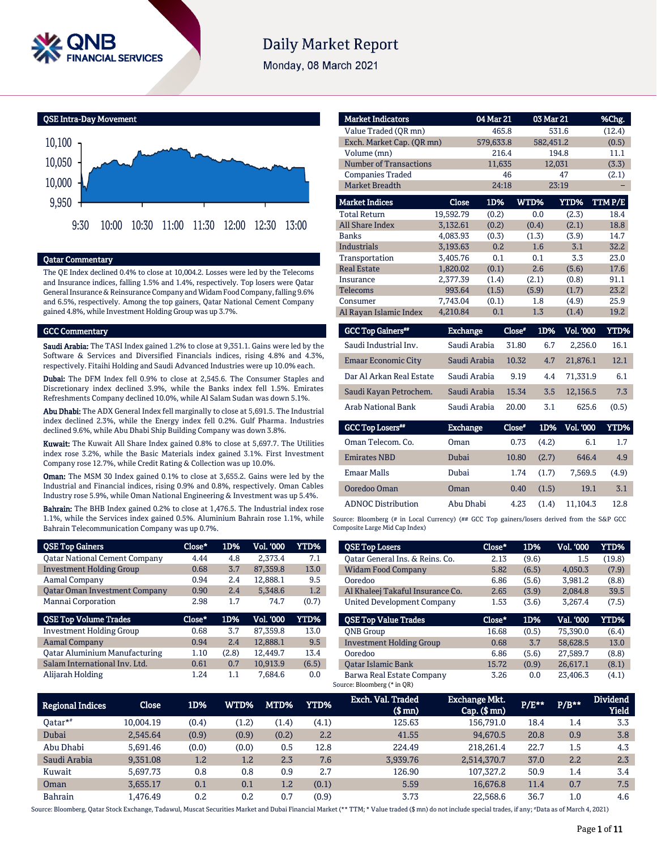

# **Daily Market Report**

Monday, 08 March 2021



### Qatar Commentary

The QE Index declined 0.4% to close at 10,004.2. Losses were led by the Telecoms and Insurance indices, falling 1.5% and 1.4%, respectively. Top losers were Qatar General Insurance & Reinsurance Company and Widam Food Company, falling 9.6% and 6.5%, respectively. Among the top gainers, Qatar National Cement Company gained 4.8%, while Investment Holding Group was up 3.7%.

#### GCC Commentary

Saudi Arabia: The TASI Index gained 1.2% to close at 9,351.1. Gains were led by the Software & Services and Diversified Financials indices, rising 4.8% and 4.3%, respectively. Fitaihi Holding and Saudi Advanced Industries were up 10.0% each.

Dubai: The DFM Index fell 0.9% to close at 2,545.6. The Consumer Staples and Discretionary index declined 3.9%, while the Banks index fell 1.5%. Emirates Refreshments Company declined 10.0%, while Al Salam Sudan was down 5.1%.

Abu Dhabi: The ADX General Index fell marginally to close at 5,691.5. The Industrial index declined 2.3%, while the Energy index fell 0.2%. Gulf Pharma. Industries declined 9.6%, while Abu Dhabi Ship Building Company was down 3.8%.

Kuwait: The Kuwait All Share Index gained 0.8% to close at 5,697.7. The Utilities index rose 3.2%, while the Basic Materials index gained 3.1%. First Investment Company rose 12.7%, while Credit Rating & Collection was up 10.0%.

Oman: The MSM 30 Index gained 0.1% to close at 3,655.2. Gains were led by the Industrial and Financial indices, rising 0.9% and 0.8%, respectively. Oman Cables Industry rose 5.9%, while Oman National Engineering & Investment was up 5.4%.

Bahrain: The BHB Index gained 0.2% to close at 1,476.5. The Industrial index rose 1.1%, while the Services index gained 0.5%. Aluminium Bahrain rose 1.1%, while Bahrain Telecommunication Company was up 0.7%.

| <b>QSE Top Gainers</b>               | Close* | 1D%   | <b>Vol. '000</b> | YTD%  |
|--------------------------------------|--------|-------|------------------|-------|
| <b>Qatar National Cement Company</b> | 4.44   | 4.8   | 2,373.4          | 7.1   |
| <b>Investment Holding Group</b>      | 0.68   | 3.7   | 87,359.8         | 13.0  |
| Aamal Company                        | 0.94   | 2.4   | 12,888.1         | 9.5   |
| <b>Qatar Oman Investment Company</b> | 0.90   | 2.4   | 5,348.6          | 1.2   |
| Mannai Corporation                   | 2.98   | 1.7   | 74.7             | (0.7) |
|                                      |        |       |                  |       |
| <b>QSE Top Volume Trades</b>         | Close* | 1D%   | Vol. '000        | YTD%  |
| <b>Investment Holding Group</b>      | 0.68   | 3.7   | 87,359.8         | 13.0  |
| <b>Aamal Company</b>                 | 0.94   | 2.4   | 12,888.1         | 9.5   |
| <b>Qatar Aluminium Manufacturing</b> | 1.10   | (2.8) | 12.449.7         | 13.4  |
| Salam International Inv. Ltd.        | 0.61   | 0.7   | 10,913.9         | (6.5) |

| <b>Market Indicators</b>      |           | 04 Mar 21 |       | 03 Mar 21 | %Chg.         |
|-------------------------------|-----------|-----------|-------|-----------|---------------|
| Value Traded (OR mn)          |           | 465.8     |       | 531.6     | (12.4)        |
| Exch. Market Cap. (QR mn)     |           | 579,633.8 |       | 582,451.2 | (0.5)         |
| Volume (mn)                   |           | 216.4     |       | 194.8     | 11.1          |
| <b>Number of Transactions</b> |           | 11,635    |       | 12,031    | (3.3)         |
| <b>Companies Traded</b>       |           | 46        |       | 47        | (2.1)         |
| <b>Market Breadth</b>         |           | 24:18     |       | 23:19     |               |
| <b>Market Indices</b>         | Close     | 1D%       | WTD%  | YTD%      | <b>TTMP/E</b> |
| <b>Total Return</b>           | 19,592.79 | (0.2)     | 0.0   | (2.3)     | 18.4          |
| All Share Index               | 3,132.61  | (0.2)     | (0.4) | (2.1)     | 18.8          |
| <b>Banks</b>                  | 4,083.93  | (0.3)     | (1.3) | (3.9)     | 14.7          |
| <b>Industrials</b>            | 3,193.63  | 0.2       | 1.6   | 3.1       | 32.2          |
| Transportation                | 3,405.76  | 0.1       | 0.1   | 3.3       | 23.0          |
| <b>Real Estate</b>            | 1,820.02  | (0.1)     | 2.6   | (5.6)     | 17.6          |
| Insurance                     | 2,377.39  | (1.4)     | (2.1) | (0.8)     | 91.1          |
| Telecoms                      | 993.64    | (1.5)     | (5.9) | (1.7)     | 23.2          |
| Consumer                      | 7,743.04  | (0.1)     | 1.8   | (4.9)     | 25.9          |
| Al Rayan Islamic Index        | 4,210.84  | 0.1       | 1.3   | (1.4)     | 19.2          |

| <b>Exchange</b> | Close" | 1D% | Vol. '000 | YTD%  |
|-----------------|--------|-----|-----------|-------|
| Saudi Arabia    | 31.80  | 6.7 | 2.256.0   | 16.1  |
| Saudi Arabia    | 10.32  | 4.7 | 21,876.1  | 12.1  |
| Saudi Arabia    | 9.19   | 4.4 | 71.331.9  | 6.1   |
| Saudi Arabia    | 15.34  | 3.5 | 12.156.5  | 7.3   |
| Saudi Arabia    | 20.00  | 3.1 | 625.6     | (0.5) |
|                 |        |     |           |       |

| <b>GCC Top Losers</b> "   | <b>Exchange</b> | Close" |       | 1D% Vol. 000 | YTD%  |
|---------------------------|-----------------|--------|-------|--------------|-------|
| Oman Telecom. Co.         | Oman            | 0.73   | (4.2) | 6.1          | 1.7   |
| <b>Emirates NBD</b>       | Dubai           | 10.80  | (2.7) | 646.4        | 4.9   |
| <b>Emaar Malls</b>        | Dubai           | 1.74   | (1.7) | 7.569.5      | (4.9) |
| Ooredoo Oman              | Oman            | 0.40   | (1.5) | 19.1         | 3.1   |
| <b>ADNOC Distribution</b> | Abu Dhabi       | 4.23   | (1.4) | 11.104.3     | 12.8  |

Source: Bloomberg (# in Local Currency) (## GCC Top gainers/losers derived from the S&P GCC Composite Large Mid Cap Index)

| <b>QSE Top Losers</b>             | Close* | 1D%   | <b>Vol. '000</b> | YTD%   |
|-----------------------------------|--------|-------|------------------|--------|
| Oatar General Ins. & Reins. Co.   | 2.13   | (9.6) | 1.5              | (19.8) |
| <b>Widam Food Company</b>         | 5.82   | (6.5) | 4.050.3          | (7.9)  |
| Ooredoo                           | 6.86   | (5.6) | 3.981.2          | (8.8)  |
| Al Khaleej Takaful Insurance Co.  | 2.65   | (3.9) | 2.084.8          | 39.5   |
| <b>United Development Company</b> | 1.53   | (3.6) | 3.267.4          | (7.5)  |
|                                   |        |       |                  |        |
| <b>OSE Top Value Trades</b>       | Close* | 1D%   | Val. '000        | YTD%   |
| <b>ONB</b> Group                  | 16.68  | (0.5) | 75.390.0         | (6.4)  |
| <b>Investment Holding Group</b>   | 0.68   | 3.7   | 58.628.5         | 13.0   |
| Ooredoo                           | 6.86   | (5.6) | 27.589.7         | (8.8)  |
| <b>Oatar Islamic Bank</b>         | 15.72  | (0.9) | 26,617.1         | (8.1)  |

| <b>Regional Indices</b> | <b>Close</b> | 1D%   | WTD%  | MTD%  | YTD%  | Exch. Val. Traded<br>(\$ mn) | <b>Exchange Mkt.</b><br>$Cap.$ (\$ mn) | $P/E***$ | $P/B**$ | <b>Dividend</b><br><b>Yield</b> |
|-------------------------|--------------|-------|-------|-------|-------|------------------------------|----------------------------------------|----------|---------|---------------------------------|
| Oatar* <sup>*</sup>     | 10.004.19    | (0.4) | (1.2) | (1.4) | (4.1) | 125.63                       | 156.791.0                              | 18.4     | 1.4     | 3.3                             |
| Dubai                   | 2,545.64     | (0.9) | (0.9) | (0.2) | 2.2   | 41.55                        | 94,670.5                               | 20.8     | 0.9     | 3.8                             |
| Abu Dhabi               | 5.691.46     | (0.0) | (0.0) | 0.5   | 12.8  | 224.49                       | 218,261.4                              | 22.7     | 1.5     | 4.3                             |
| Saudi Arabia            | 9,351.08     | 1.2   | 1.2   | 2.3   | 7.6   | 3.939.76                     | 2,514,370.7                            | 37.0     | 2.2     | 2.3                             |
| Kuwait                  | 5.697.73     | 0.8   | 0.8   | 0.9   | 2.7   | 126.90                       | 107.327.2                              | 50.9     | 1.4     | 3.4                             |
| Oman                    | 3.655.17     | 0.1   | 0.1   | 1.2   | (0.1) | 5.59                         | 16.676.8                               | 11.4     | 0.7     | 7.5                             |
| <b>Bahrain</b>          | .476.49      | 0.2   | 0.2   | 0.7   | (0.9) | 3.73                         | 22.568.6                               | 36.7     | $1.0\,$ | 4.6                             |

Source: Bloomberg, Qatar Stock Exchange, Tadawul, Muscat Securities Market and Dubai Financial Market (\*\* TTM; \* Value traded (\$ mn) do not include special trades, if any; #Data as of March 4, 2021)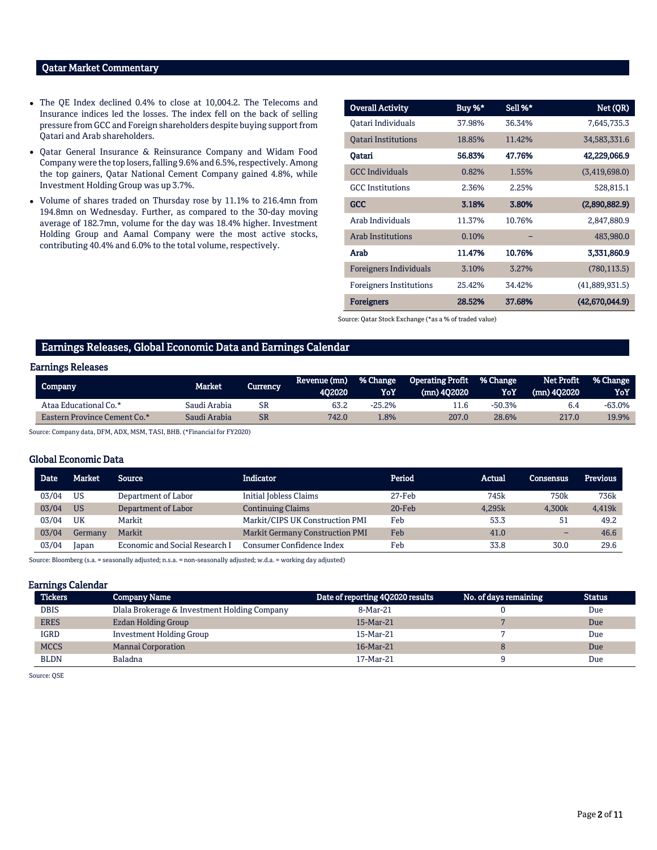# Qatar Market Commentary

- The QE Index declined 0.4% to close at 10,004.2. The Telecoms and Insurance indices led the losses. The index fell on the back of selling pressure from GCC and Foreign shareholders despite buying support from Qatari and Arab shareholders.
- Qatar General Insurance & Reinsurance Company and Widam Food Company were the top losers, falling 9.6% and 6.5%, respectively. Among the top gainers, Qatar National Cement Company gained 4.8%, while Investment Holding Group was up 3.7%.
- Volume of shares traded on Thursday rose by 11.1% to 216.4mn from 194.8mn on Wednesday. Further, as compared to the 30-day moving average of 182.7mn, volume for the day was 18.4% higher. Investment Holding Group and Aamal Company were the most active stocks, contributing 40.4% and 6.0% to the total volume, respectively.

| <b>Overall Activity</b>        | Buy %* | Sell %* | Net (QR)       |
|--------------------------------|--------|---------|----------------|
| Oatari Individuals             | 37.98% | 36.34%  | 7,645,735.3    |
| <b>Oatari Institutions</b>     | 18.85% | 11.42%  | 34,583,331.6   |
| Oatari                         | 56.83% | 47.76%  | 42,229,066.9   |
| <b>GCC</b> Individuals         | 0.82%  | 1.55%   | (3,419,698.0)  |
| <b>GCC</b> Institutions        | 2.36%  | 2.25%   | 528,815.1      |
| GCC                            | 3.18%  | 3.80%   | (2,890,882.9)  |
| Arab Individuals               | 11.37% | 10.76%  | 2,847,880.9    |
| <b>Arab Institutions</b>       | 0.10%  |         | 483,980.0      |
| Arab                           | 11.47% | 10.76%  | 3,331,860.9    |
| Foreigners Individuals         | 3.10%  | 3.27%   | (780, 113.5)   |
| <b>Foreigners Institutions</b> | 25.42% | 34.42%  | (41,889,931.5) |
| <b>Foreigners</b>              | 28.52% | 37.68%  | (42.670.044.9) |

Source: Qatar Stock Exchange (\*as a % of traded value)

### Earnings Releases, Global Economic Data and Earnings Calendar

### Earnings Releases

| <b>Company</b>               | Market       | Currency, | Revenue (mn)<br>402020 | % Change<br>YoY | <b>Operating Profit</b> % Change<br>(mn) 402020 | YoY      | Net Profit<br>(mn) 402020 | % Change<br>YoY |
|------------------------------|--------------|-----------|------------------------|-----------------|-------------------------------------------------|----------|---------------------------|-----------------|
| Ataa Educational Co.*        | Saudi Arabia | SR        | 63.2                   | $-25.2%$        |                                                 | $-50.3%$ | 6.4                       | -63.0%          |
| Eastern Province Cement Co.* | Saudi Arabia | SR        | 742.0                  | 8%              | 207.0                                           | 28.6%    | 217.0                     | 19.9%           |

Source: Company data, DFM, ADX, MSM, TASI, BHB. (\*Financial for FY2020)

#### Global Economic Data

| <b>Date</b> | Market    | Source                         | <b>Indicator</b>                       | Period    | Actual | <b>Consensus</b> | <b>Previous</b> |
|-------------|-----------|--------------------------------|----------------------------------------|-----------|--------|------------------|-----------------|
| 03/04       | US        | Department of Labor            | Initial Jobless Claims                 | 27-Feb    | 745k   | 750k             | 736k            |
| 03/04       | <b>US</b> | Department of Labor            | <b>Continuing Claims</b>               | $20$ -Feb | 4.295k | 4.300k           | 4,419k          |
| 03/04       | UK        | Markit                         | Markit/CIPS UK Construction PMI        | Feb       | 53.3   | 51               | 49.2            |
| 03/04       | Germany   | Markit                         | <b>Markit Germany Construction PMI</b> | Feb       | 41.0   | -                | 46.6            |
| 03/04       | Japan     | Economic and Social Research I | Consumer Confidence Index              | Feb       | 33.8   | 30.0             | 29.6            |

Source: Bloomberg (s.a. = seasonally adjusted; n.s.a. = non-seasonally adjusted; w.d.a. = working day adjusted)

### Earnings Calendar

| <b>Tickers</b> | <b>Company Name</b>                          | Date of reporting 402020 results | No. of days remaining | <b>Status</b> |
|----------------|----------------------------------------------|----------------------------------|-----------------------|---------------|
| <b>DBIS</b>    | Dlala Brokerage & Investment Holding Company | 8-Mar-21                         |                       | Due           |
| <b>ERES</b>    | Ezdan Holding Group                          | 15-Mar-21                        |                       | Due           |
| <b>IGRD</b>    | <b>Investment Holding Group</b>              | 15-Mar-21                        |                       | Due           |
| <b>MCCS</b>    | Mannai Corporation                           | 16-Mar-21                        |                       | Due           |
| <b>BLDN</b>    | Baladna                                      | 17-Mar-21                        |                       | Due           |

Source: QSE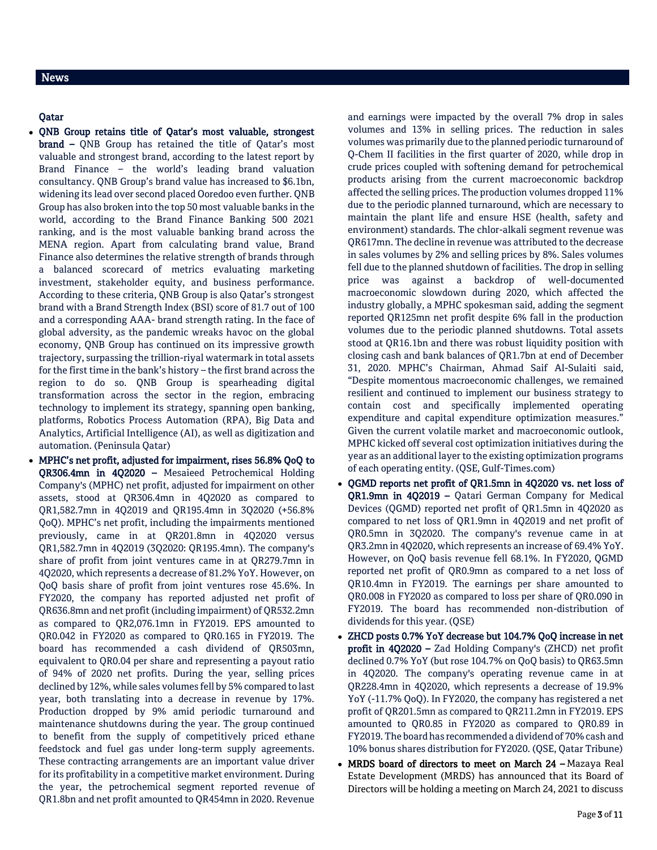# News

# Qatar

- QNB Group retains title of Qatar's most valuable, strongest brand – QNB Group has retained the title of Qatar's most valuable and strongest brand, according to the latest report by Brand Finance – the world's leading brand valuation consultancy. QNB Group's brand value has increased to \$6.1bn, widening its lead over second placed Ooredoo even further. QNB Group has also broken into the top 50 most valuable banks in the world, according to the Brand Finance Banking 500 2021 ranking, and is the most valuable banking brand across the MENA region. Apart from calculating brand value, Brand Finance also determines the relative strength of brands through a balanced scorecard of metrics evaluating marketing investment, stakeholder equity, and business performance. According to these criteria, QNB Group is also Qatar's strongest brand with a Brand Strength Index (BSI) score of 81.7 out of 100 and a corresponding AAA- brand strength rating. In the face of global adversity, as the pandemic wreaks havoc on the global economy, QNB Group has continued on its impressive growth trajectory, surpassing the trillion-riyal watermark in total assets for the first time in the bank's history – the first brand across the region to do so. QNB Group is spearheading digital transformation across the sector in the region, embracing technology to implement its strategy, spanning open banking, platforms, Robotics Process Automation (RPA), Big Data and Analytics, Artificial Intelligence (AI), as well as digitization and automation. (Peninsula Qatar)
- MPHC's net profit, adjusted for impairment, rises 56.8% QoQ to QR306.4mn in 4Q2020 – Mesaieed Petrochemical Holding Company's (MPHC) net profit, adjusted for impairment on other assets, stood at QR306.4mn in 4Q2020 as compared to QR1,582.7mn in 4Q2019 and QR195.4mn in 3Q2020 (+56.8% QoQ). MPHC's net profit, including the impairments mentioned previously, came in at QR201.8mn in 4Q2020 versus QR1,582.7mn in 4Q2019 (3Q2020: QR195.4mn). The company's share of profit from joint ventures came in at QR279.7mn in 4Q2020, which represents a decrease of 81.2% YoY. However, on QoQ basis share of profit from joint ventures rose 45.6%. In FY2020, the company has reported adjusted net profit of QR636.8mn and net profit (including impairment) of QR532.2mn as compared to QR2,076.1mn in FY2019. EPS amounted to QR0.042 in FY2020 as compared to QR0.165 in FY2019. The board has recommended a cash dividend of QR503mn, equivalent to QR0.04 per share and representing a payout ratio of 94% of 2020 net profits. During the year, selling prices declined by 12%, while sales volumes fell by 5% compared to last year, both translating into a decrease in revenue by 17%. Production dropped by 9% amid periodic turnaround and maintenance shutdowns during the year. The group continued to benefit from the supply of competitively priced ethane feedstock and fuel gas under long-term supply agreements. These contracting arrangements are an important value driver for its profitability in a competitive market environment. During the year, the petrochemical segment reported revenue of QR1.8bn and net profit amounted to QR454mn in 2020. Revenue

and earnings were impacted by the overall 7% drop in sales volumes and 13% in selling prices. The reduction in sales volumes was primarily due to the planned periodic turnaround of Q-Chem II facilities in the first quarter of 2020, while drop in crude prices coupled with softening demand for petrochemical products arising from the current macroeconomic backdrop affected the selling prices. The production volumes dropped 11% due to the periodic planned turnaround, which are necessary to maintain the plant life and ensure HSE (health, safety and environment) standards. The chlor-alkali segment revenue was QR617mn. The decline in revenue was attributed to the decrease in sales volumes by 2% and selling prices by 8%. Sales volumes fell due to the planned shutdown of facilities. The drop in selling price was against a backdrop of well-documented macroeconomic slowdown during 2020, which affected the industry globally, a MPHC spokesman said, adding the segment reported QR125mn net profit despite 6% fall in the production volumes due to the periodic planned shutdowns. Total assets stood at QR16.1bn and there was robust liquidity position with closing cash and bank balances of QR1.7bn at end of December 31, 2020. MPHC's Chairman, Ahmad Saif Al-Sulaiti said, "Despite momentous macroeconomic challenges, we remained resilient and continued to implement our business strategy to contain cost and specifically implemented operating expenditure and capital expenditure optimization measures." Given the current volatile market and macroeconomic outlook, MPHC kicked off several cost optimization initiatives during the year as an additional layer to the existing optimization programs of each operating entity. (QSE, Gulf-Times.com)

- QGMD reports net profit of QR1.5mn in 4Q2020 vs. net loss of QR1.9mn in 4Q2019 – Qatari German Company for Medical Devices (QGMD) reported net profit of QR1.5mn in 4Q2020 as compared to net loss of QR1.9mn in 4Q2019 and net profit of QR0.5mn in 3Q2020. The company's revenue came in at QR3.2mn in 4Q2020, which represents an increase of 69.4% YoY. However, on QoQ basis revenue fell 68.1%. In FY2020, QGMD reported net profit of QR0.9mn as compared to a net loss of QR10.4mn in FY2019. The earnings per share amounted to QR0.008 in FY2020 as compared to loss per share of QR0.090 in FY2019. The board has recommended non-distribution of dividends for this year. (QSE)
- ZHCD posts 0.7% YoY decrease but 104.7% QoQ increase in net profit in 4Q2020 – Zad Holding Company's (ZHCD) net profit declined 0.7% YoY (but rose 104.7% on QoQ basis) to QR63.5mn in 4Q2020. The company's operating revenue came in at QR228.4mn in 4Q2020, which represents a decrease of 19.9% YoY (-11.7% QoQ). In FY2020, the company has registered a net profit of QR201.5mn as compared to QR211.2mn in FY2019. EPS amounted to QR0.85 in FY2020 as compared to QR0.89 in FY2019. The board has recommended a dividend of 70% cash and 10% bonus shares distribution for FY2020. (QSE, Qatar Tribune)
- MRDS board of directors to meet on March 24 Mazaya Real Estate Development (MRDS) has announced that its Board of Directors will be holding a meeting on March 24, 2021 to discuss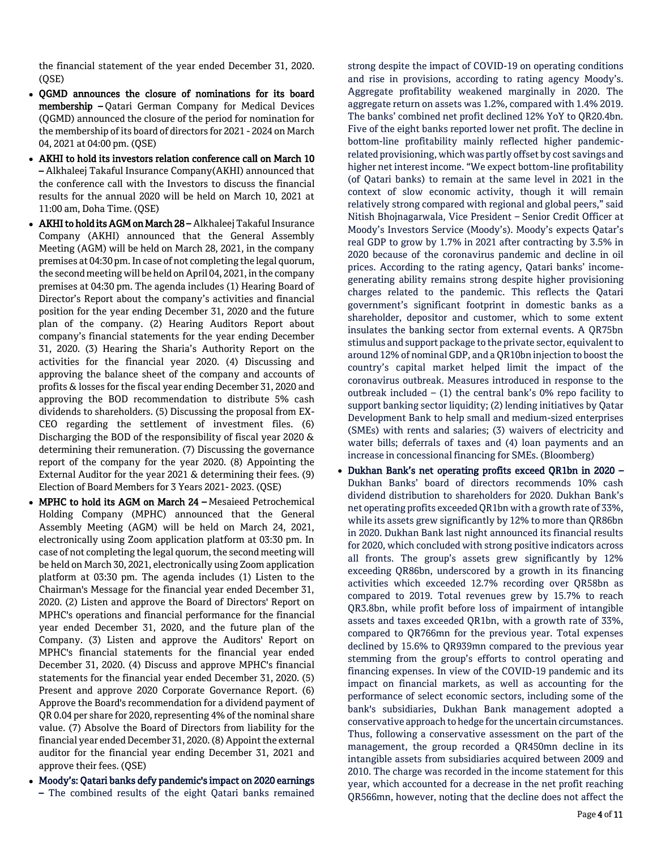the financial statement of the year ended December 31, 2020. (QSE)

- QGMD announces the closure of nominations for its board membership – Qatari German Company for Medical Devices (QGMD) announced the closure of the period for nomination for the membership of its board of directors for 2021 - 2024 on March 04, 2021 at 04:00 pm. (QSE)
- AKHI to hold its investors relation conference call on March 10 – Alkhaleej Takaful Insurance Company(AKHI) announced that the conference call with the Investors to discuss the financial results for the annual 2020 will be held on March 10, 2021 at 11:00 am, Doha Time. (QSE)
- AKHI to hold its AGM on March 28 Alkhaleej Takaful Insurance Company (AKHI) announced that the General Assembly Meeting (AGM) will be held on March 28, 2021, in the company premises at 04:30 pm. In case of not completing the legal quorum, the second meeting will be held on April 04, 2021, in the company premises at 04:30 pm. The agenda includes (1) Hearing Board of Director's Report about the company's activities and financial position for the year ending December 31, 2020 and the future plan of the company. (2) Hearing Auditors Report about company's financial statements for the year ending December 31, 2020. (3) Hearing the Sharia's Authority Report on the activities for the financial year 2020. (4) Discussing and approving the balance sheet of the company and accounts of profits & losses for the fiscal year ending December 31, 2020 and approving the BOD recommendation to distribute 5% cash dividends to shareholders. (5) Discussing the proposal from EX-CEO regarding the settlement of investment files. (6) Discharging the BOD of the responsibility of fiscal year 2020 & determining their remuneration. (7) Discussing the governance report of the company for the year 2020. (8) Appointing the External Auditor for the year 2021 & determining their fees. (9) Election of Board Members for 3 Years 2021- 2023. (QSE)
- MPHC to hold its AGM on March 24 Mesaieed Petrochemical Holding Company (MPHC) announced that the General Assembly Meeting (AGM) will be held on March 24, 2021, electronically using Zoom application platform at 03:30 pm. In case of not completing the legal quorum, the second meeting will be held on March 30, 2021, electronically using Zoom application platform at 03:30 pm. The agenda includes (1) Listen to the Chairman's Message for the financial year ended December 31, 2020. (2) Listen and approve the Board of Directors' Report on MPHC's operations and financial performance for the financial year ended December 31, 2020, and the future plan of the Company. (3) Listen and approve the Auditors' Report on MPHC's financial statements for the financial year ended December 31, 2020. (4) Discuss and approve MPHC's financial statements for the financial year ended December 31, 2020. (5) Present and approve 2020 Corporate Governance Report. (6) Approve the Board's recommendation for a dividend payment of QR 0.04 per share for 2020, representing 4% of the nominal share value. (7) Absolve the Board of Directors from liability for the financial year ended December 31, 2020. (8) Appoint the external auditor for the financial year ending December 31, 2021 and approve their fees. (QSE)
- Moody's: Qatari banks defy pandemic's impact on 2020 earnings – The combined results of the eight Qatari banks remained

strong despite the impact of COVID-19 on operating conditions and rise in provisions, according to rating agency Moody's. Aggregate profitability weakened marginally in 2020. The aggregate return on assets was 1.2%, compared with 1.4% 2019. The banks' combined net profit declined 12% YoY to QR20.4bn. Five of the eight banks reported lower net profit. The decline in bottom-line profitability mainly reflected higher pandemicrelated provisioning, which was partly offset by cost savings and higher net interest income. "We expect bottom-line profitability (of Qatari banks) to remain at the same level in 2021 in the context of slow economic activity, though it will remain relatively strong compared with regional and global peers," said Nitish Bhojnagarwala, Vice President – Senior Credit Officer at Moody's Investors Service (Moody's). Moody's expects Qatar's real GDP to grow by 1.7% in 2021 after contracting by 3.5% in 2020 because of the coronavirus pandemic and decline in oil prices. According to the rating agency, Qatari banks' incomegenerating ability remains strong despite higher provisioning charges related to the pandemic. This reflects the Qatari government's significant footprint in domestic banks as a shareholder, depositor and customer, which to some extent insulates the banking sector from external events. A QR75bn stimulus and support package to the private sector, equivalent to around 12% of nominal GDP, and a QR10bn injection to boost the country's capital market helped limit the impact of the coronavirus outbreak. Measures introduced in response to the outbreak included  $-$  (1) the central bank's 0% repo facility to support banking sector liquidity; (2) lending initiatives by Qatar Development Bank to help small and medium-sized enterprises (SMEs) with rents and salaries; (3) waivers of electricity and water bills; deferrals of taxes and (4) loan payments and an increase in concessional financing for SMEs. (Bloomberg)

 Dukhan Bank's net operating profits exceed QR1bn in 2020 – Dukhan Banks' board of directors recommends 10% cash dividend distribution to shareholders for 2020. Dukhan Bank's net operating profits exceeded QR1bn with a growth rate of 33%, while its assets grew significantly by 12% to more than QR86bn in 2020. Dukhan Bank last night announced its financial results for 2020, which concluded with strong positive indicators across all fronts. The group's assets grew significantly by 12% exceeding QR86bn, underscored by a growth in its financing activities which exceeded 12.7% recording over QR58bn as compared to 2019. Total revenues grew by 15.7% to reach QR3.8bn, while profit before loss of impairment of intangible assets and taxes exceeded QR1bn, with a growth rate of 33%, compared to QR766mn for the previous year. Total expenses declined by 15.6% to QR939mn compared to the previous year stemming from the group's efforts to control operating and financing expenses. In view of the COVID-19 pandemic and its impact on financial markets, as well as accounting for the performance of select economic sectors, including some of the bank's subsidiaries, Dukhan Bank management adopted a conservative approach to hedge for the uncertain circumstances. Thus, following a conservative assessment on the part of the management, the group recorded a QR450mn decline in its intangible assets from subsidiaries acquired between 2009 and 2010. The charge was recorded in the income statement for this year, which accounted for a decrease in the net profit reaching QR566mn, however, noting that the decline does not affect the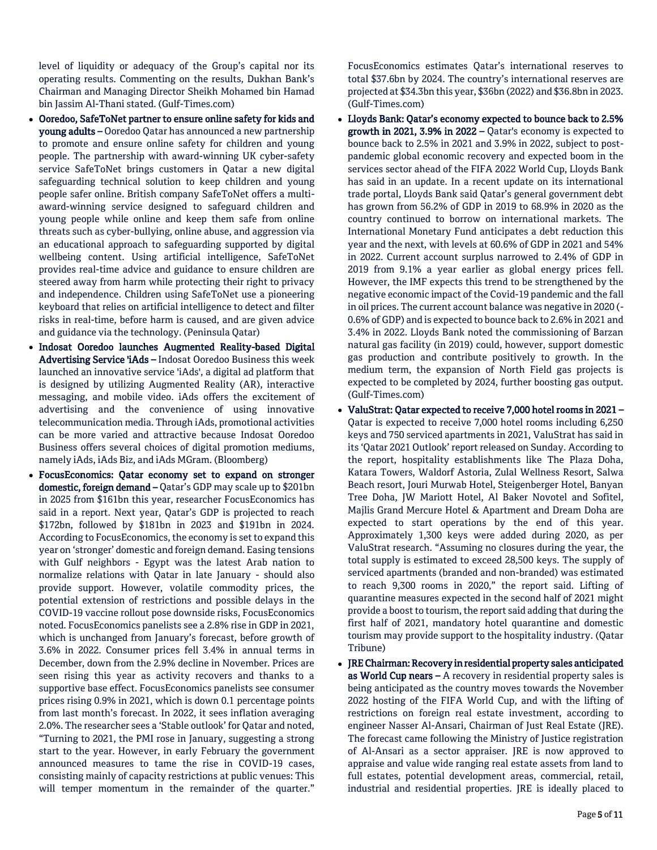level of liquidity or adequacy of the Group's capital nor its operating results. Commenting on the results, Dukhan Bank's Chairman and Managing Director Sheikh Mohamed bin Hamad bin Jassim Al-Thani stated. (Gulf-Times.com)

- Ooredoo, SafeToNet partner to ensure online safety for kids and young adults – Ooredoo Qatar has announced a new partnership to promote and ensure online safety for children and young people. The partnership with award-winning UK cyber-safety service SafeToNet brings customers in Qatar a new digital safeguarding technical solution to keep children and young people safer online. British company SafeToNet offers a multiaward-winning service designed to safeguard children and young people while online and keep them safe from online threats such as cyber-bullying, online abuse, and aggression via an educational approach to safeguarding supported by digital wellbeing content. Using artificial intelligence, SafeToNet provides real-time advice and guidance to ensure children are steered away from harm while protecting their right to privacy and independence. Children using SafeToNet use a pioneering keyboard that relies on artificial intelligence to detect and filter risks in real-time, before harm is caused, and are given advice and guidance via the technology. (Peninsula Qatar)
- Indosat Ooredoo launches Augmented Reality-based Digital Advertising Service 'iAds – Indosat Ooredoo Business this week launched an innovative service 'iAds', a digital ad platform that is designed by utilizing Augmented Reality (AR), interactive messaging, and mobile video. iAds offers the excitement of advertising and the convenience of using innovative telecommunication media. Through iAds, promotional activities can be more varied and attractive because Indosat Ooredoo Business offers several choices of digital promotion mediums, namely iAds, iAds Biz, and iAds MGram. (Bloomberg)
- FocusEconomics: Qatar economy set to expand on stronger domestic, foreign demand – Qatar's GDP may scale up to \$201bn in 2025 from \$161bn this year, researcher FocusEconomics has said in a report. Next year, Qatar's GDP is projected to reach \$172bn, followed by \$181bn in 2023 and \$191bn in 2024. According to FocusEconomics, the economy is set to expand this year on 'stronger' domestic and foreign demand. Easing tensions with Gulf neighbors - Egypt was the latest Arab nation to normalize relations with Qatar in late January - should also provide support. However, volatile commodity prices, the potential extension of restrictions and possible delays in the COVID-19 vaccine rollout pose downside risks, FocusEconomics noted. FocusEconomics panelists see a 2.8% rise in GDP in 2021, which is unchanged from January's forecast, before growth of 3.6% in 2022. Consumer prices fell 3.4% in annual terms in December, down from the 2.9% decline in November. Prices are seen rising this year as activity recovers and thanks to a supportive base effect. FocusEconomics panelists see consumer prices rising 0.9% in 2021, which is down 0.1 percentage points from last month's forecast. In 2022, it sees inflation averaging 2.0%. The researcher sees a 'Stable outlook' for Qatar and noted, "Turning to 2021, the PMI rose in January, suggesting a strong start to the year. However, in early February the government announced measures to tame the rise in COVID-19 cases, consisting mainly of capacity restrictions at public venues: This will temper momentum in the remainder of the quarter."

FocusEconomics estimates Qatar's international reserves to total \$37.6bn by 2024. The country's international reserves are projected at \$34.3bn this year, \$36bn (2022) and \$36.8bn in 2023. (Gulf-Times.com)

- Lloyds Bank: Qatar's economy expected to bounce back to 2.5% growth in 2021, 3.9% in 2022 – Qatar's economy is expected to bounce back to 2.5% in 2021 and 3.9% in 2022, subject to postpandemic global economic recovery and expected boom in the services sector ahead of the FIFA 2022 World Cup, Lloyds Bank has said in an update. In a recent update on its international trade portal, Lloyds Bank said Qatar's general government debt has grown from 56.2% of GDP in 2019 to 68.9% in 2020 as the country continued to borrow on international markets. The International Monetary Fund anticipates a debt reduction this year and the next, with levels at 60.6% of GDP in 2021 and 54% in 2022. Current account surplus narrowed to 2.4% of GDP in 2019 from 9.1% a year earlier as global energy prices fell. However, the IMF expects this trend to be strengthened by the negative economic impact of the Covid-19 pandemic and the fall in oil prices. The current account balance was negative in 2020 (- 0.6% of GDP) and is expected to bounce back to 2.6% in 2021 and 3.4% in 2022. Lloyds Bank noted the commissioning of Barzan natural gas facility (in 2019) could, however, support domestic gas production and contribute positively to growth. In the medium term, the expansion of North Field gas projects is expected to be completed by 2024, further boosting gas output. (Gulf-Times.com)
- ValuStrat: Qatar expected to receive 7,000 hotel rooms in 2021 Qatar is expected to receive 7,000 hotel rooms including 6,250 keys and 750 serviced apartments in 2021, ValuStrat has said in its 'Qatar 2021 Outlook' report released on Sunday. According to the report, hospitality establishments like The Plaza Doha, Katara Towers, Waldorf Astoria, Zulal Wellness Resort, Salwa Beach resort, Jouri Murwab Hotel, Steigenberger Hotel, Banyan Tree Doha, JW Mariott Hotel, Al Baker Novotel and Sofitel, Majlis Grand Mercure Hotel & Apartment and Dream Doha are expected to start operations by the end of this year. Approximately 1,300 keys were added during 2020, as per ValuStrat research. "Assuming no closures during the year, the total supply is estimated to exceed 28,500 keys. The supply of serviced apartments (branded and non-branded) was estimated to reach 9,300 rooms in 2020," the report said. Lifting of quarantine measures expected in the second half of 2021 might provide a boost to tourism, the report said adding that during the first half of 2021, mandatory hotel quarantine and domestic tourism may provide support to the hospitality industry. (Qatar Tribune)
- JRE Chairman: Recovery in residential property sales anticipated as World Cup nears – A recovery in residential property sales is being anticipated as the country moves towards the November 2022 hosting of the FIFA World Cup, and with the lifting of restrictions on foreign real estate investment, according to engineer Nasser Al-Ansari, Chairman of Just Real Estate (JRE). The forecast came following the Ministry of Justice registration of Al-Ansari as a sector appraiser. JRE is now approved to appraise and value wide ranging real estate assets from land to full estates, potential development areas, commercial, retail, industrial and residential properties. JRE is ideally placed to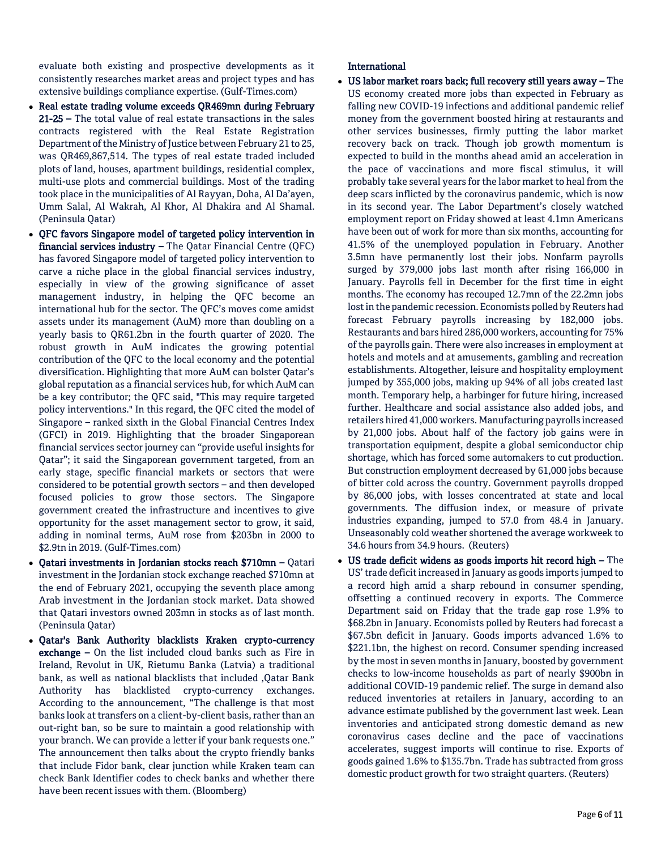evaluate both existing and prospective developments as it consistently researches market areas and project types and has extensive buildings compliance expertise. (Gulf-Times.com)

- Real estate trading volume exceeds QR469mn during February 21-25 – The total value of real estate transactions in the sales contracts registered with the Real Estate Registration Department of the Ministry of Justice between February 21 to 25, was QR469,867,514. The types of real estate traded included plots of land, houses, apartment buildings, residential complex, multi-use plots and commercial buildings. Most of the trading took place in the municipalities of Al Rayyan, Doha, Al Da'ayen, Umm Salal, Al Wakrah, Al Khor, Al Dhakira and Al Shamal. (Peninsula Qatar)
- QFC favors Singapore model of targeted policy intervention in financial services industry – The Qatar Financial Centre (QFC) has favored Singapore model of targeted policy intervention to carve a niche place in the global financial services industry, especially in view of the growing significance of asset management industry, in helping the QFC become an international hub for the sector. The QFC's moves come amidst assets under its management (AuM) more than doubling on a yearly basis to QR61.2bn in the fourth quarter of 2020. The robust growth in AuM indicates the growing potential contribution of the QFC to the local economy and the potential diversification. Highlighting that more AuM can bolster Qatar's global reputation as a financial services hub, for which AuM can be a key contributor; the QFC said, "This may require targeted policy interventions." In this regard, the QFC cited the model of Singapore – ranked sixth in the Global Financial Centres Index (GFCI) in 2019. Highlighting that the broader Singaporean financial services sector journey can "provide useful insights for Qatar"; it said the Singaporean government targeted, from an early stage, specific financial markets or sectors that were considered to be potential growth sectors – and then developed focused policies to grow those sectors. The Singapore government created the infrastructure and incentives to give opportunity for the asset management sector to grow, it said, adding in nominal terms, AuM rose from \$203bn in 2000 to \$2.9tn in 2019. (Gulf-Times.com)
- Qatari investments in Jordanian stocks reach \$710mn Qatari investment in the Jordanian stock exchange reached \$710mn at the end of February 2021, occupying the seventh place among Arab investment in the Jordanian stock market. Data showed that Qatari investors owned 203mn in stocks as of last month. (Peninsula Qatar)
- Qatar's Bank Authority blacklists Kraken crypto-currency exchange – On the list included cloud banks such as Fire in Ireland, Revolut in UK, Rietumu Banka (Latvia) a traditional bank, as well as national blacklists that included ,Qatar Bank Authority has blacklisted crypto-currency exchanges. According to the announcement, "The challenge is that most banks look at transfers on a client-by-client basis, rather than an out-right ban, so be sure to maintain a good relationship with your branch. We can provide a letter if your bank requests one." The announcement then talks about the crypto friendly banks that include Fidor bank, clear junction while Kraken team can check Bank Identifier codes to check banks and whether there have been recent issues with them. (Bloomberg)

# International

- US labor market roars back; full recovery still years away The US economy created more jobs than expected in February as falling new COVID-19 infections and additional pandemic relief money from the government boosted hiring at restaurants and other services businesses, firmly putting the labor market recovery back on track. Though job growth momentum is expected to build in the months ahead amid an acceleration in the pace of vaccinations and more fiscal stimulus, it will probably take several years for the labor market to heal from the deep scars inflicted by the coronavirus pandemic, which is now in its second year. The Labor Department's closely watched employment report on Friday showed at least 4.1mn Americans have been out of work for more than six months, accounting for 41.5% of the unemployed population in February. Another 3.5mn have permanently lost their jobs. Nonfarm payrolls surged by 379,000 jobs last month after rising 166,000 in January. Payrolls fell in December for the first time in eight months. The economy has recouped 12.7mn of the 22.2mn jobs lost in the pandemic recession. Economists polled by Reuters had forecast February payrolls increasing by 182,000 jobs. Restaurants and bars hired 286,000 workers, accounting for 75% of the payrolls gain. There were also increases in employment at hotels and motels and at amusements, gambling and recreation establishments. Altogether, leisure and hospitality employment jumped by 355,000 jobs, making up 94% of all jobs created last month. Temporary help, a harbinger for future hiring, increased further. Healthcare and social assistance also added jobs, and retailers hired 41,000 workers. Manufacturing payrolls increased by 21,000 jobs. About half of the factory job gains were in transportation equipment, despite a global semiconductor chip shortage, which has forced some automakers to cut production. But construction employment decreased by 61,000 jobs because of bitter cold across the country. Government payrolls dropped by 86,000 jobs, with losses concentrated at state and local governments. The diffusion index, or measure of private industries expanding, jumped to 57.0 from 48.4 in January. Unseasonably cold weather shortened the average workweek to 34.6 hours from 34.9 hours. (Reuters)
- US trade deficit widens as goods imports hit record high The US' trade deficit increased in January as goods imports jumped to a record high amid a sharp rebound in consumer spending, offsetting a continued recovery in exports. The Commerce Department said on Friday that the trade gap rose 1.9% to \$68.2bn in January. Economists polled by Reuters had forecast a \$67.5bn deficit in January. Goods imports advanced 1.6% to \$221.1bn, the highest on record. Consumer spending increased by the most in seven months in January, boosted by government checks to low-income households as part of nearly \$900bn in additional COVID-19 pandemic relief. The surge in demand also reduced inventories at retailers in January, according to an advance estimate published by the government last week. Lean inventories and anticipated strong domestic demand as new coronavirus cases decline and the pace of vaccinations accelerates, suggest imports will continue to rise. Exports of goods gained 1.6% to \$135.7bn. Trade has subtracted from gross domestic product growth for two straight quarters. (Reuters)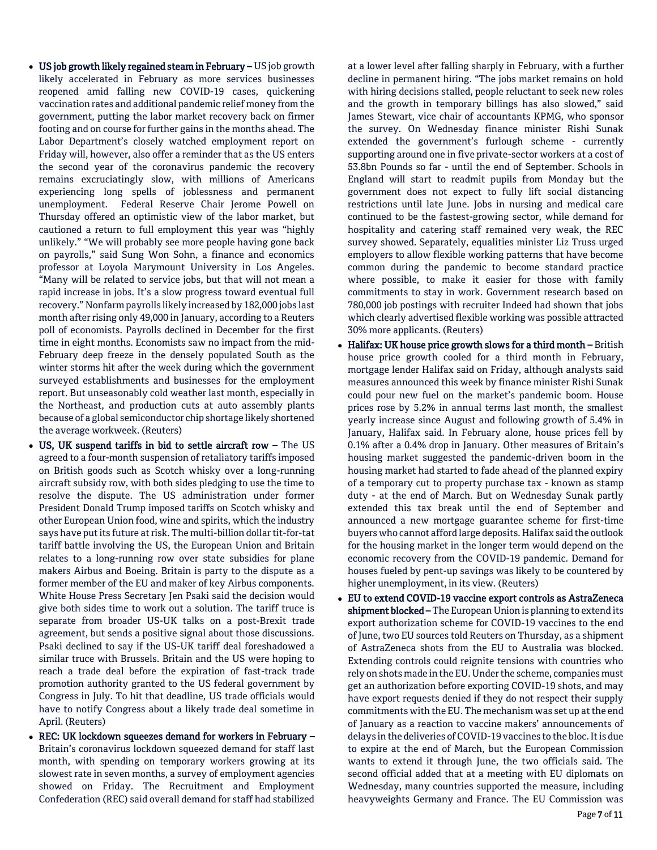- US job growth likely regained steam in February US job growth likely accelerated in February as more services businesses reopened amid falling new COVID-19 cases, quickening vaccination rates and additional pandemic relief money from the government, putting the labor market recovery back on firmer footing and on course for further gains in the months ahead. The Labor Department's closely watched employment report on Friday will, however, also offer a reminder that as the US enters the second year of the coronavirus pandemic the recovery remains excruciatingly slow, with millions of Americans experiencing long spells of joblessness and permanent unemployment. Federal Reserve Chair Jerome Powell on Thursday offered an optimistic view of the labor market, but cautioned a return to full employment this year was "highly unlikely." "We will probably see more people having gone back on payrolls," said Sung Won Sohn, a finance and economics professor at Loyola Marymount University in Los Angeles. "Many will be related to service jobs, but that will not mean a rapid increase in jobs. It's a slow progress toward eventual full recovery." Nonfarm payrolls likely increased by 182,000 jobs last month after rising only 49,000 in January, according to a Reuters poll of economists. Payrolls declined in December for the first time in eight months. Economists saw no impact from the mid-February deep freeze in the densely populated South as the winter storms hit after the week during which the government surveyed establishments and businesses for the employment report. But unseasonably cold weather last month, especially in the Northeast, and production cuts at auto assembly plants because of a global semiconductor chip shortage likely shortened the average workweek. (Reuters)
- US, UK suspend tariffs in bid to settle aircraft row The US agreed to a four-month suspension of retaliatory tariffs imposed on British goods such as Scotch whisky over a long-running aircraft subsidy row, with both sides pledging to use the time to resolve the dispute. The US administration under former President Donald Trump imposed tariffs on Scotch whisky and other European Union food, wine and spirits, which the industry says have put its future at risk. The multi-billion dollar tit-for-tat tariff battle involving the US, the European Union and Britain relates to a long-running row over state subsidies for plane makers Airbus and Boeing. Britain is party to the dispute as a former member of the EU and maker of key Airbus components. White House Press Secretary Jen Psaki said the decision would give both sides time to work out a solution. The tariff truce is separate from broader US-UK talks on a post-Brexit trade agreement, but sends a positive signal about those discussions. Psaki declined to say if the US-UK tariff deal foreshadowed a similar truce with Brussels. Britain and the US were hoping to reach a trade deal before the expiration of fast-track trade promotion authority granted to the US federal government by Congress in July. To hit that deadline, US trade officials would have to notify Congress about a likely trade deal sometime in April. (Reuters)
- REC: UK lockdown squeezes demand for workers in February Britain's coronavirus lockdown squeezed demand for staff last month, with spending on temporary workers growing at its slowest rate in seven months, a survey of employment agencies showed on Friday. The Recruitment and Employment Confederation (REC) said overall demand for staff had stabilized

at a lower level after falling sharply in February, with a further decline in permanent hiring. "The jobs market remains on hold with hiring decisions stalled, people reluctant to seek new roles and the growth in temporary billings has also slowed," said James Stewart, vice chair of accountants KPMG, who sponsor the survey. On Wednesday finance minister Rishi Sunak extended the government's furlough scheme - currently supporting around one in five private-sector workers at a cost of 53.8bn Pounds so far - until the end of September. Schools in England will start to readmit pupils from Monday but the government does not expect to fully lift social distancing restrictions until late June. Jobs in nursing and medical care continued to be the fastest-growing sector, while demand for hospitality and catering staff remained very weak, the REC survey showed. Separately, equalities minister Liz Truss urged employers to allow flexible working patterns that have become common during the pandemic to become standard practice where possible, to make it easier for those with family commitments to stay in work. Government research based on 780,000 job postings with recruiter Indeed had shown that jobs which clearly advertised flexible working was possible attracted 30% more applicants. (Reuters)

- Halifax: UK house price growth slows for a third month British house price growth cooled for a third month in February, mortgage lender Halifax said on Friday, although analysts said measures announced this week by finance minister Rishi Sunak could pour new fuel on the market's pandemic boom. House prices rose by 5.2% in annual terms last month, the smallest yearly increase since August and following growth of 5.4% in January, Halifax said. In February alone, house prices fell by 0.1% after a 0.4% drop in January. Other measures of Britain's housing market suggested the pandemic-driven boom in the housing market had started to fade ahead of the planned expiry of a temporary cut to property purchase tax - known as stamp duty - at the end of March. But on Wednesday Sunak partly extended this tax break until the end of September and announced a new mortgage guarantee scheme for first-time buyers who cannot afford large deposits. Halifax said the outlook for the housing market in the longer term would depend on the economic recovery from the COVID-19 pandemic. Demand for houses fueled by pent-up savings was likely to be countered by higher unemployment, in its view. (Reuters)
- EU to extend COVID-19 vaccine export controls as AstraZeneca shipment blocked – The European Union is planning to extend its export authorization scheme for COVID-19 vaccines to the end of June, two EU sources told Reuters on Thursday, as a shipment of AstraZeneca shots from the EU to Australia was blocked. Extending controls could reignite tensions with countries who rely on shots made in the EU. Under the scheme, companies must get an authorization before exporting COVID-19 shots, and may have export requests denied if they do not respect their supply commitments with the EU. The mechanism was set up at the end of January as a reaction to vaccine makers' announcements of delays in the deliveries of COVID-19 vaccines to the bloc. It is due to expire at the end of March, but the European Commission wants to extend it through June, the two officials said. The second official added that at a meeting with EU diplomats on Wednesday, many countries supported the measure, including heavyweights Germany and France. The EU Commission was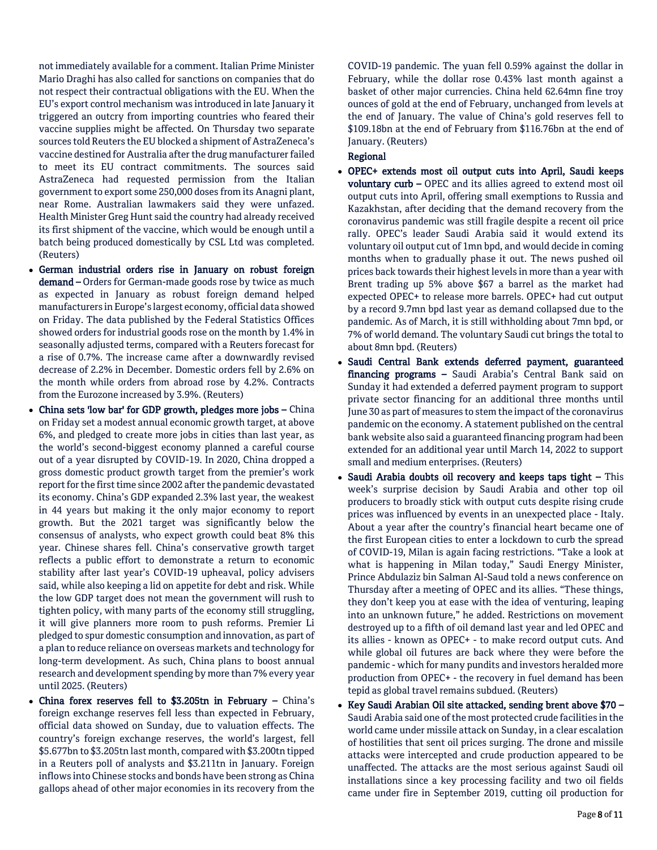not immediately available for a comment. Italian Prime Minister Mario Draghi has also called for sanctions on companies that do not respect their contractual obligations with the EU. When the EU's export control mechanism was introduced in late January it triggered an outcry from importing countries who feared their vaccine supplies might be affected. On Thursday two separate sources told Reuters the EU blocked a shipment of AstraZeneca's vaccine destined for Australia after the drug manufacturer failed to meet its EU contract commitments. The sources said AstraZeneca had requested permission from the Italian government to export some 250,000 doses from its Anagni plant, near Rome. Australian lawmakers said they were unfazed. Health Minister Greg Hunt said the country had already received its first shipment of the vaccine, which would be enough until a batch being produced domestically by CSL Ltd was completed. (Reuters)

- German industrial orders rise in January on robust foreign demand – Orders for German-made goods rose by twice as much as expected in January as robust foreign demand helped manufacturers in Europe's largest economy, official data showed on Friday. The data published by the Federal Statistics Offices showed orders for industrial goods rose on the month by 1.4% in seasonally adjusted terms, compared with a Reuters forecast for a rise of 0.7%. The increase came after a downwardly revised decrease of 2.2% in December. Domestic orders fell by 2.6% on the month while orders from abroad rose by 4.2%. Contracts from the Eurozone increased by 3.9%. (Reuters)
- China sets 'low bar' for GDP growth, pledges more jobs China on Friday set a modest annual economic growth target, at above 6%, and pledged to create more jobs in cities than last year, as the world's second-biggest economy planned a careful course out of a year disrupted by COVID-19. In 2020, China dropped a gross domestic product growth target from the premier's work report for the first time since 2002 after the pandemic devastated its economy. China's GDP expanded 2.3% last year, the weakest in 44 years but making it the only major economy to report growth. But the 2021 target was significantly below the consensus of analysts, who expect growth could beat 8% this year. Chinese shares fell. China's conservative growth target reflects a public effort to demonstrate a return to economic stability after last year's COVID-19 upheaval, policy advisers said, while also keeping a lid on appetite for debt and risk. While the low GDP target does not mean the government will rush to tighten policy, with many parts of the economy still struggling, it will give planners more room to push reforms. Premier Li pledged to spur domestic consumption and innovation, as part of a plan to reduce reliance on overseas markets and technology for long-term development. As such, China plans to boost annual research and development spending by more than 7% every year until 2025. (Reuters)
- China forex reserves fell to \$3.205tn in February China's foreign exchange reserves fell less than expected in February, official data showed on Sunday, due to valuation effects. The country's foreign exchange reserves, the world's largest, fell \$5.677bn to \$3.205tn last month, compared with \$3.200tn tipped in a Reuters poll of analysts and \$3.211tn in January. Foreign inflows into Chinese stocks and bonds have been strong as China gallops ahead of other major economies in its recovery from the

COVID-19 pandemic. The yuan fell 0.59% against the dollar in February, while the dollar rose 0.43% last month against a basket of other major currencies. China held 62.64mn fine troy ounces of gold at the end of February, unchanged from levels at the end of January. The value of China's gold reserves fell to \$109.18bn at the end of February from \$116.76bn at the end of January. (Reuters)

# Regional

- OPEC+ extends most oil output cuts into April, Saudi keeps voluntary curb - OPEC and its allies agreed to extend most oil output cuts into April, offering small exemptions to Russia and Kazakhstan, after deciding that the demand recovery from the coronavirus pandemic was still fragile despite a recent oil price rally. OPEC's leader Saudi Arabia said it would extend its voluntary oil output cut of 1mn bpd, and would decide in coming months when to gradually phase it out. The news pushed oil prices back towards their highest levels in more than a year with Brent trading up 5% above \$67 a barrel as the market had expected OPEC+ to release more barrels. OPEC+ had cut output by a record 9.7mn bpd last year as demand collapsed due to the pandemic. As of March, it is still withholding about 7mn bpd, or 7% of world demand. The voluntary Saudi cut brings the total to about 8mn bpd. (Reuters)
- Saudi Central Bank extends deferred payment, guaranteed financing programs - Saudi Arabia's Central Bank said on Sunday it had extended a deferred payment program to support private sector financing for an additional three months until June 30 as part of measures to stem the impact of the coronavirus pandemic on the economy. A statement published on the central bank website also said a guaranteed financing program had been extended for an additional year until March 14, 2022 to support small and medium enterprises. (Reuters)
- Saudi Arabia doubts oil recovery and keeps taps tight This week's surprise decision by Saudi Arabia and other top oil producers to broadly stick with output cuts despite rising crude prices was influenced by events in an unexpected place - Italy. About a year after the country's financial heart became one of the first European cities to enter a lockdown to curb the spread of COVID-19, Milan is again facing restrictions. "Take a look at what is happening in Milan today," Saudi Energy Minister, Prince Abdulaziz bin Salman Al-Saud told a news conference on Thursday after a meeting of OPEC and its allies. "These things, they don't keep you at ease with the idea of venturing, leaping into an unknown future," he added. Restrictions on movement destroyed up to a fifth of oil demand last year and led OPEC and its allies - known as OPEC+ - to make record output cuts. And while global oil futures are back where they were before the pandemic - which for many pundits and investors heralded more production from OPEC+ - the recovery in fuel demand has been tepid as global travel remains subdued. (Reuters)
- Key Saudi Arabian Oil site attacked, sending brent above  $$70 -$ Saudi Arabia said one of the most protected crude facilities in the world came under missile attack on Sunday, in a clear escalation of hostilities that sent oil prices surging. The drone and missile attacks were intercepted and crude production appeared to be unaffected. The attacks are the most serious against Saudi oil installations since a key processing facility and two oil fields came under fire in September 2019, cutting oil production for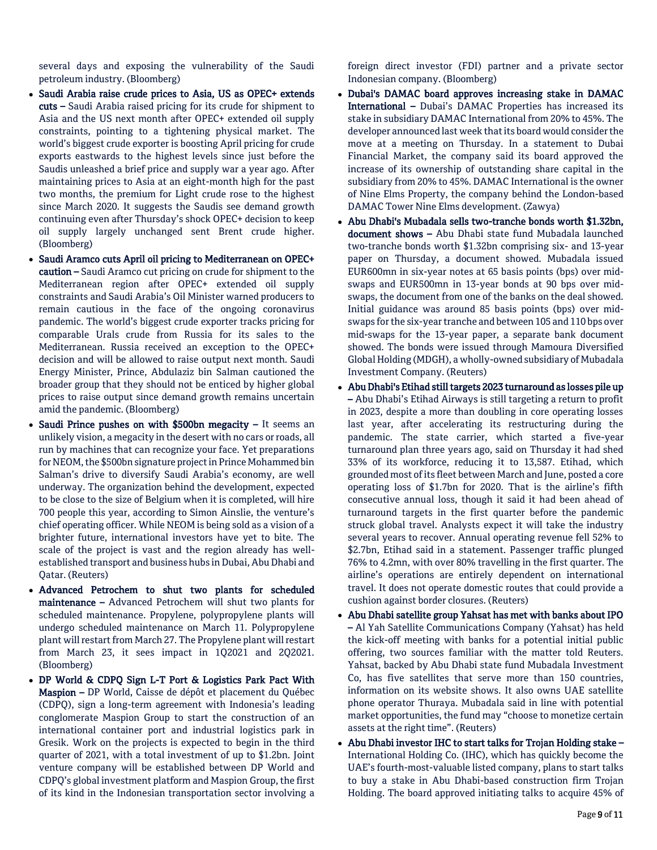several days and exposing the vulnerability of the Saudi petroleum industry. (Bloomberg)

- Saudi Arabia raise crude prices to Asia, US as OPEC+ extends cuts – Saudi Arabia raised pricing for its crude for shipment to Asia and the US next month after OPEC+ extended oil supply constraints, pointing to a tightening physical market. The world's biggest crude exporter is boosting April pricing for crude exports eastwards to the highest levels since just before the Saudis unleashed a brief price and supply war a year ago. After maintaining prices to Asia at an eight-month high for the past two months, the premium for Light crude rose to the highest since March 2020. It suggests the Saudis see demand growth continuing even after Thursday's shock OPEC+ decision to keep oil supply largely unchanged sent Brent crude higher. (Bloomberg)
- Saudi Aramco cuts April oil pricing to Mediterranean on OPEC+ caution – Saudi Aramco cut pricing on crude for shipment to the Mediterranean region after OPEC+ extended oil supply constraints and Saudi Arabia's Oil Minister warned producers to remain cautious in the face of the ongoing coronavirus pandemic. The world's biggest crude exporter tracks pricing for comparable Urals crude from Russia for its sales to the Mediterranean. Russia received an exception to the OPEC+ decision and will be allowed to raise output next month. Saudi Energy Minister, Prince, Abdulaziz bin Salman cautioned the broader group that they should not be enticed by higher global prices to raise output since demand growth remains uncertain amid the pandemic. (Bloomberg)
- Saudi Prince pushes on with \$500bn megacity  $-$  It seems an unlikely vision, a megacity in the desert with no cars or roads, all run by machines that can recognize your face. Yet preparations for NEOM, the \$500bn signature project in Prince Mohammed bin Salman's drive to diversify Saudi Arabia's economy, are well underway. The organization behind the development, expected to be close to the size of Belgium when it is completed, will hire 700 people this year, according to Simon Ainslie, the venture's chief operating officer. While NEOM is being sold as a vision of a brighter future, international investors have yet to bite. The scale of the project is vast and the region already has wellestablished transport and business hubs in Dubai, Abu Dhabi and Qatar. (Reuters)
- Advanced Petrochem to shut two plants for scheduled maintenance – Advanced Petrochem will shut two plants for scheduled maintenance. Propylene, polypropylene plants will undergo scheduled maintenance on March 11. Polypropylene plant will restart from March 27. The Propylene plant will restart from March 23, it sees impact in 1Q2021 and 2Q2021. (Bloomberg)
- DP World & CDPQ Sign L-T Port & Logistics Park Pact With Maspion – DP World, Caisse de dépôt et placement du Québec (CDPQ), sign a long-term agreement with Indonesia's leading conglomerate Maspion Group to start the construction of an international container port and industrial logistics park in Gresik. Work on the projects is expected to begin in the third quarter of 2021, with a total investment of up to \$1.2bn. Joint venture company will be established between DP World and CDPQ's global investment platform and Maspion Group, the first of its kind in the Indonesian transportation sector involving a

foreign direct investor (FDI) partner and a private sector Indonesian company. (Bloomberg)

- Dubai's DAMAC board approves increasing stake in DAMAC International – Dubai's DAMAC Properties has increased its stake in subsidiary DAMAC International from 20% to 45%. The developer announced last week that its board would consider the move at a meeting on Thursday. In a statement to Dubai Financial Market, the company said its board approved the increase of its ownership of outstanding share capital in the subsidiary from 20% to 45%. DAMAC International is the owner of Nine Elms Property, the company behind the London-based DAMAC Tower Nine Elms development. (Zawya)
- Abu Dhabi's Mubadala sells two-tranche bonds worth \$1.32bn, document shows – Abu Dhabi state fund Mubadala launched two-tranche bonds worth \$1.32bn comprising six- and 13-year paper on Thursday, a document showed. Mubadala issued EUR600mn in six-year notes at 65 basis points (bps) over midswaps and EUR500mn in 13-year bonds at 90 bps over midswaps, the document from one of the banks on the deal showed. Initial guidance was around 85 basis points (bps) over midswaps for the six-year tranche and between 105 and 110 bps over mid-swaps for the 13-year paper, a separate bank document showed. The bonds were issued through Mamoura Diversified Global Holding (MDGH), a wholly-owned subsidiary of Mubadala Investment Company. (Reuters)
- Abu Dhabi's Etihad still targets 2023 turnaround as losses pile up – Abu Dhabi's Etihad Airways is still targeting a return to profit in 2023, despite a more than doubling in core operating losses last year, after accelerating its restructuring during the pandemic. The state carrier, which started a five-year turnaround plan three years ago, said on Thursday it had shed 33% of its workforce, reducing it to 13,587. Etihad, which grounded most of its fleet between March and June, posted a core operating loss of \$1.7bn for 2020. That is the airline's fifth consecutive annual loss, though it said it had been ahead of turnaround targets in the first quarter before the pandemic struck global travel. Analysts expect it will take the industry several years to recover. Annual operating revenue fell 52% to \$2.7bn, Etihad said in a statement. Passenger traffic plunged 76% to 4.2mn, with over 80% travelling in the first quarter. The airline's operations are entirely dependent on international travel. It does not operate domestic routes that could provide a cushion against border closures. (Reuters)
- Abu Dhabi satellite group Yahsat has met with banks about IPO – Al Yah Satellite Communications Company (Yahsat) has held the kick-off meeting with banks for a potential initial public offering, two sources familiar with the matter told Reuters. Yahsat, backed by Abu Dhabi state fund Mubadala Investment Co, has five satellites that serve more than 150 countries, information on its website shows. It also owns UAE satellite phone operator Thuraya. Mubadala said in line with potential market opportunities, the fund may "choose to monetize certain assets at the right time". (Reuters)
- Abu Dhabi investor IHC to start talks for Trojan Holding stake International Holding Co. (IHC), which has quickly become the UAE's fourth-most-valuable listed company, plans to start talks to buy a stake in Abu Dhabi-based construction firm Trojan Holding. The board approved initiating talks to acquire 45% of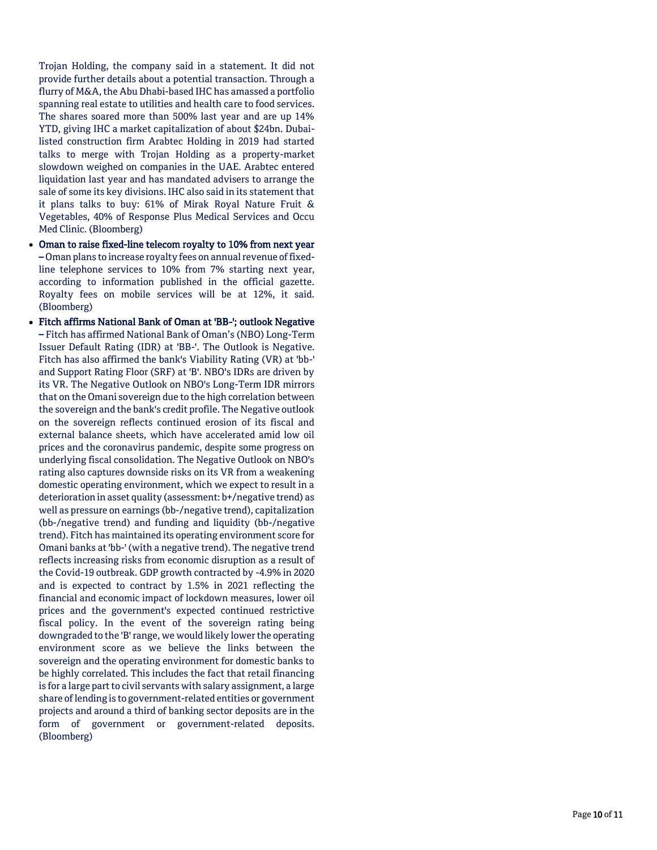Trojan Holding, the company said in a statement. It did not provide further details about a potential transaction. Through a flurry of M&A, the Abu Dhabi -based IHC has amassed a portfolio spanning real estate to utilities and health care to food services. The shares soared more than 500% last year and are up 14% YTD, giving IHC a market capitalization of about \$24bn. Dubai listed construction firm Arabtec Holding in 2019 had started talks to merge with Trojan Holding as a property -market slowdown weighed on companies in the UAE. Arabtec entered liquidation last year and has mandated advisers to arrange the sale of some its key divisions. IHC also said in its statement that it plans talks to buy: 61% of Mirak Royal Nature Fruit & Vegetables, 40% of Response Plus Medical Services and Occu Med Clinic. (Bloomberg)

- Oman to raise fixed -line telecom royalty to 10% from next year – Oman plans to increase royalty fees on annual revenue of fixed line telephone services to 10% from 7% starting next year, according to information published in the official gazette. Royalty fees on mobile services will be at 12%, it said. (Bloomberg)
- Fitch affirms National Bank of Oman at 'BB -'; outlook Negative – Fitch has affirmed National Bank of Oman's (NBO) Long -Term Issuer Default Rating (IDR) at 'BB -'. The Outlook is Negative. Fitch has also affirmed the bank's Viability Rating (VR) at 'bb -' and Support Rating Floor (SRF) at 'B'. NBO's IDRs are driven by its VR. The Negative Outlook on NBO's Long -Term IDR mirrors that on the Omani sovereign due to the high correlation between the sovereign and the bank's credit profile. The Negative outlook on the sovereign reflects continued erosion of its fiscal and external balance sheets, which have accelerated amid low oil prices and the coronavirus pandemic, despite some progress on underlying fiscal consolidation. The Negative Outlook on NBO's rating also captures downside risks on its VR from a weakening domestic operating environment, which we expect to result in a deterioration in asset quality (assessment: b+/negative trend) as well as pressure on earnings (bb -/negative trend), capitalization (bb -/negative trend) and funding and liquidity (bb -/negative trend). Fitch has maintained its operating environment score for Omani banks at 'bb -' (with a negative trend). The negative trend reflects increasing risks from economic disruption as a result of the Covid -19 outbreak. GDP growth contracted by -4.9% in 2020 and is expected to contract by 1.5% in 2021 reflecting the financial and economic impact of lockdown measures, lower oil prices and the government's expected continued restrictive fiscal policy. In the event of the sovereign rating being downgraded to the 'B' range, we would likely lower the operating environment score as we believe the links between the sovereign and the operating environment for domestic banks to be highly correlated. This includes the fact that retail financing is for a large part to civil servants with salary assignment, a large share of lending is to government -related entities or government projects and around a third of banking sector deposits are in the form of government or government -related deposits. (Bloomberg)